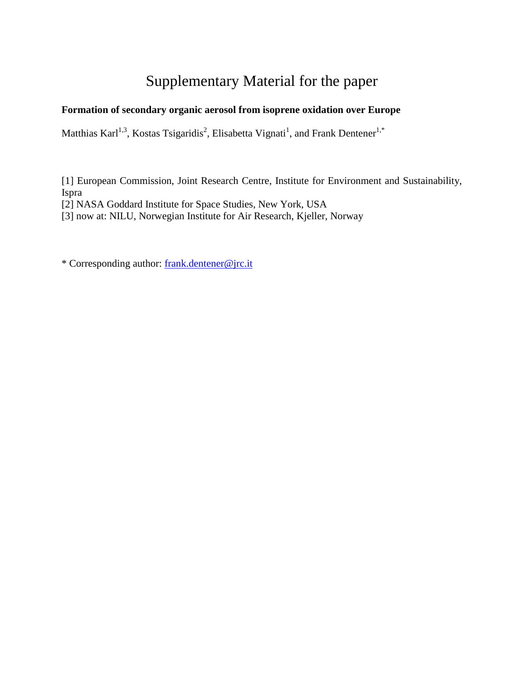## Supplementary Material for the paper

## **Formation of secondary organic aerosol from isoprene oxidation over Europe**

Matthias Karl<sup>1,3</sup>, Kostas Tsigaridis<sup>2</sup>, Elisabetta Vignati<sup>1</sup>, and Frank Dentener<sup>1,\*</sup>

[1] European Commission, Joint Research Centre, Institute for Environment and Sustainability, Ispra

[2] NASA Goddard Institute for Space Studies, New York, USA

[3] now at: NILU, Norwegian Institute for Air Research, Kjeller, Norway

\* Corresponding author: [frank.dentener@jrc.it](mailto:frank.dentener@jrc.it)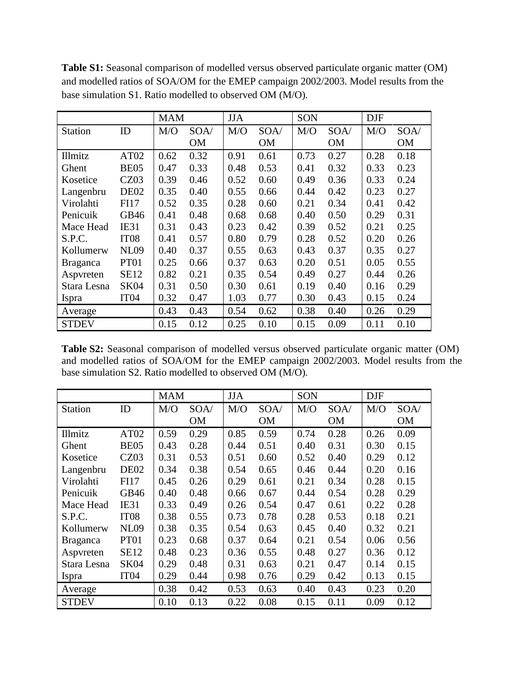|                 |                  | <b>MAM</b> |           | <b>JJA</b> |           | SON  |           | <b>DJF</b> |      |
|-----------------|------------------|------------|-----------|------------|-----------|------|-----------|------------|------|
| <b>Station</b>  | ID               | M/O        | SOA/      | M/O        | SOA/      | M/O  | SOA/      | M/O        | SOA/ |
|                 |                  |            | <b>OM</b> |            | <b>OM</b> |      | <b>OM</b> |            | OM   |
| Illmitz         | AT <sub>02</sub> | 0.62       | 0.32      | 0.91       | 0.61      | 0.73 | 0.27      | 0.28       | 0.18 |
| Ghent           | BE <sub>05</sub> | 0.47       | 0.33      | 0.48       | 0.53      | 0.41 | 0.32      | 0.33       | 0.23 |
| Kosetice        | CZ03             | 0.39       | 0.46      | 0.52       | 0.60      | 0.49 | 0.36      | 0.33       | 0.24 |
| Langenbru       | DE <sub>02</sub> | 0.35       | 0.40      | 0.55       | 0.66      | 0.44 | 0.42      | 0.23       | 0.27 |
| Virolahti       | <b>FI17</b>      | 0.52       | 0.35      | 0.28       | 0.60      | 0.21 | 0.34      | 0.41       | 0.42 |
| Penicuik        | GB46             | 0.41       | 0.48      | 0.68       | 0.68      | 0.40 | 0.50      | 0.29       | 0.31 |
| Mace Head       | IE31             | 0.31       | 0.43      | 0.23       | 0.42      | 0.39 | 0.52      | 0.21       | 0.25 |
| S.P.C.          | IT <sub>08</sub> | 0.41       | 0.57      | 0.80       | 0.79      | 0.28 | 0.52      | 0.20       | 0.26 |
| Kollumerw       | <b>NL09</b>      | 0.40       | 0.37      | 0.55       | 0.63      | 0.43 | 0.37      | 0.35       | 0.27 |
| <b>Braganca</b> | PT <sub>01</sub> | 0.25       | 0.66      | 0.37       | 0.63      | 0.20 | 0.51      | 0.05       | 0.55 |
| Aspvreten       | <b>SE12</b>      | 0.82       | 0.21      | 0.35       | 0.54      | 0.49 | 0.27      | 0.44       | 0.26 |
| Stara Lesna     | <b>SK04</b>      | 0.31       | 0.50      | 0.30       | 0.61      | 0.19 | 0.40      | 0.16       | 0.29 |
| Ispra           | IT <sub>04</sub> | 0.32       | 0.47      | 1.03       | 0.77      | 0.30 | 0.43      | 0.15       | 0.24 |
| Average         |                  | 0.43       | 0.43      | 0.54       | 0.62      | 0.38 | 0.40      | 0.26       | 0.29 |
| <b>STDEV</b>    |                  | 0.15       | 0.12      | 0.25       | 0.10      | 0.15 | 0.09      | 0.11       | 0.10 |

**Table S1:** Seasonal comparison of modelled versus observed particulate organic matter (OM) and modelled ratios of SOA/OM for the EMEP campaign 2002/2003. Model results from the base simulation S1. Ratio modelled to observed OM (M/O).

**Table S2:** Seasonal comparison of modelled versus observed particulate organic matter (OM) and modelled ratios of SOA/OM for the EMEP campaign 2002/2003. Model results from the base simulation S2. Ratio modelled to observed OM (M/O).

|                 |                  | <b>MAM</b> |           | <b>JJA</b> |           | SON  |           | <b>DJF</b> |      |
|-----------------|------------------|------------|-----------|------------|-----------|------|-----------|------------|------|
| <b>Station</b>  | ID               | M/O        | SOA/      | M/O        | SOA/      | M/O  | SOA/      | M/O        | SOA/ |
|                 |                  |            | <b>OM</b> |            | <b>OM</b> |      | <b>OM</b> |            | OM   |
| Illmitz         | AT <sub>02</sub> | 0.59       | 0.29      | 0.85       | 0.59      | 0.74 | 0.28      | 0.26       | 0.09 |
| Ghent           | <b>BE05</b>      | 0.43       | 0.28      | 0.44       | 0.51      | 0.40 | 0.31      | 0.30       | 0.15 |
| Kosetice        | CZ03             | 0.31       | 0.53      | 0.51       | 0.60      | 0.52 | 0.40      | 0.29       | 0.12 |
| Langenbru       | DE <sub>02</sub> | 0.34       | 0.38      | 0.54       | 0.65      | 0.46 | 0.44      | 0.20       | 0.16 |
| Virolahti       | <b>FI17</b>      | 0.45       | 0.26      | 0.29       | 0.61      | 0.21 | 0.34      | 0.28       | 0.15 |
| Penicuik        | GB46             | 0.40       | 0.48      | 0.66       | 0.67      | 0.44 | 0.54      | 0.28       | 0.29 |
| Mace Head       | IE31             | 0.33       | 0.49      | 0.26       | 0.54      | 0.47 | 0.61      | 0.22       | 0.28 |
| S.P.C.          | IT <sub>08</sub> | 0.38       | 0.55      | 0.73       | 0.78      | 0.28 | 0.53      | 0.18       | 0.21 |
| Kollumerw       | <b>NL09</b>      | 0.38       | 0.35      | 0.54       | 0.63      | 0.45 | 0.40      | 0.32       | 0.21 |
| <b>Braganca</b> | PT <sub>01</sub> | 0.23       | 0.68      | 0.37       | 0.64      | 0.21 | 0.54      | 0.06       | 0.56 |
| Aspvreten       | <b>SE12</b>      | 0.48       | 0.23      | 0.36       | 0.55      | 0.48 | 0.27      | 0.36       | 0.12 |
| Stara Lesna     | <b>SK04</b>      | 0.29       | 0.48      | 0.31       | 0.63      | 0.21 | 0.47      | 0.14       | 0.15 |
| Ispra           | IT <sub>04</sub> | 0.29       | 0.44      | 0.98       | 0.76      | 0.29 | 0.42      | 0.13       | 0.15 |
| Average         |                  | 0.38       | 0.42      | 0.53       | 0.63      | 0.40 | 0.43      | 0.23       | 0.20 |
| <b>STDEV</b>    |                  | 0.10       | 0.13      | 0.22       | 0.08      | 0.15 | 0.11      | 0.09       | 0.12 |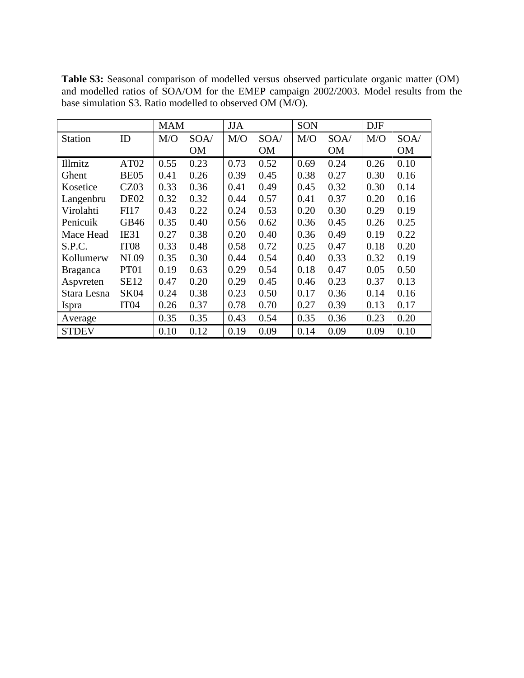|                 |                  | <b>MAM</b> |           | <b>JJA</b> |           | SON  |           | <b>DJF</b> |           |
|-----------------|------------------|------------|-----------|------------|-----------|------|-----------|------------|-----------|
| <b>Station</b>  | ID               | M/O        | SOA/      | M/O        | SOA/      | M/O  | SOA/      | M/O        | SOA/      |
|                 |                  |            | <b>OM</b> |            | <b>OM</b> |      | <b>OM</b> |            | <b>OM</b> |
| Illmitz         | AT <sub>02</sub> | 0.55       | 0.23      | 0.73       | 0.52      | 0.69 | 0.24      | 0.26       | 0.10      |
| Ghent           | <b>BE05</b>      | 0.41       | 0.26      | 0.39       | 0.45      | 0.38 | 0.27      | 0.30       | 0.16      |
| Kosetice        | CZ03             | 0.33       | 0.36      | 0.41       | 0.49      | 0.45 | 0.32      | 0.30       | 0.14      |
| Langenbru       | DE <sub>02</sub> | 0.32       | 0.32      | 0.44       | 0.57      | 0.41 | 0.37      | 0.20       | 0.16      |
| Virolahti       | <b>FI17</b>      | 0.43       | 0.22      | 0.24       | 0.53      | 0.20 | 0.30      | 0.29       | 0.19      |
| Penicuik        | GB46             | 0.35       | 0.40      | 0.56       | 0.62      | 0.36 | 0.45      | 0.26       | 0.25      |
| Mace Head       | IE31             | 0.27       | 0.38      | 0.20       | 0.40      | 0.36 | 0.49      | 0.19       | 0.22      |
| S.P.C.          | IT <sub>08</sub> | 0.33       | 0.48      | 0.58       | 0.72      | 0.25 | 0.47      | 0.18       | 0.20      |
| Kollumerw       | <b>NL09</b>      | 0.35       | 0.30      | 0.44       | 0.54      | 0.40 | 0.33      | 0.32       | 0.19      |
| <b>Braganca</b> | PT01             | 0.19       | 0.63      | 0.29       | 0.54      | 0.18 | 0.47      | 0.05       | 0.50      |
| Aspvreten       | <b>SE12</b>      | 0.47       | 0.20      | 0.29       | 0.45      | 0.46 | 0.23      | 0.37       | 0.13      |
| Stara Lesna     | <b>SK04</b>      | 0.24       | 0.38      | 0.23       | 0.50      | 0.17 | 0.36      | 0.14       | 0.16      |
| Ispra           | IT <sub>04</sub> | 0.26       | 0.37      | 0.78       | 0.70      | 0.27 | 0.39      | 0.13       | 0.17      |
| Average         |                  | 0.35       | 0.35      | 0.43       | 0.54      | 0.35 | 0.36      | 0.23       | 0.20      |
| <b>STDEV</b>    |                  | 0.10       | 0.12      | 0.19       | 0.09      | 0.14 | 0.09      | 0.09       | 0.10      |

**Table S3:** Seasonal comparison of modelled versus observed particulate organic matter (OM) and modelled ratios of SOA/OM for the EMEP campaign 2002/2003. Model results from the base simulation S3. Ratio modelled to observed OM (M/O).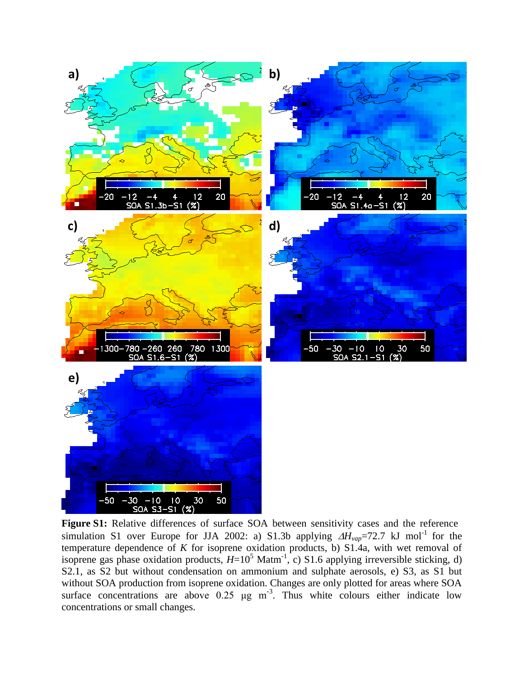

**Figure S1:** Relative differences of surface SOA between sensitivity cases and the reference simulation S1 over Europe for JJA 2002: a) S1.3b applying  $\Delta H_{vap}$ =72.7 kJ mol<sup>-1</sup> for the temperature dependence of  $K$  for isoprene oxidation products, b) S1.4a, with wet removal of isoprene gas phase oxidation products,  $H=10^5$  Matm<sup>-1</sup>, c) S1.6 applying irreversible sticking, d) S2.1, as S2 but without condensation on ammonium and sulphate aerosols, e) S3, as S1 but without SOA production from isoprene oxidation. Changes are only plotted for areas where SOA surface concentrations are above  $0.25 \mu g m^{-3}$ . Thus white colours either indicate low concentrations or small changes.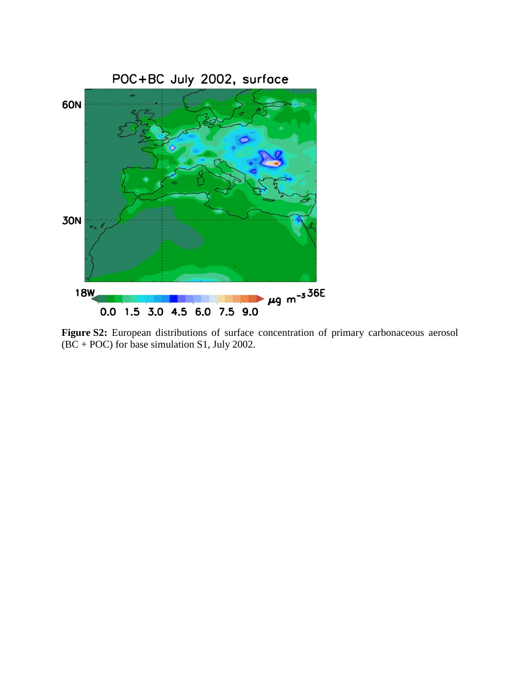

**Figure S2:** European distributions of surface concentration of primary carbonaceous aerosol (BC + POC) for base simulation S1, July 2002.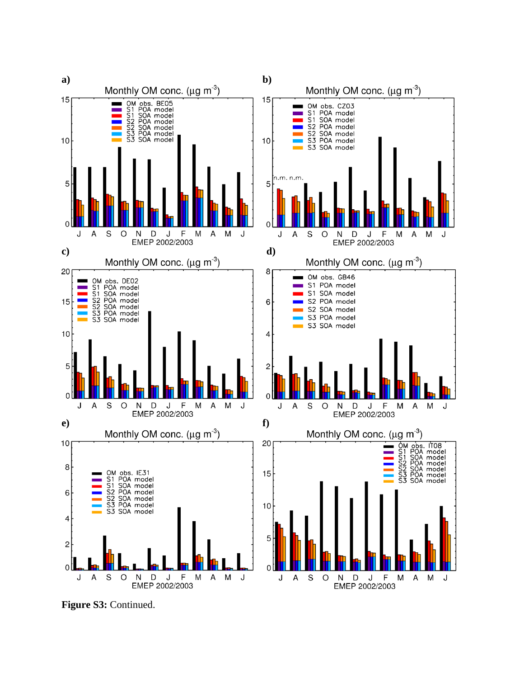

**Figure S3:** Continued.